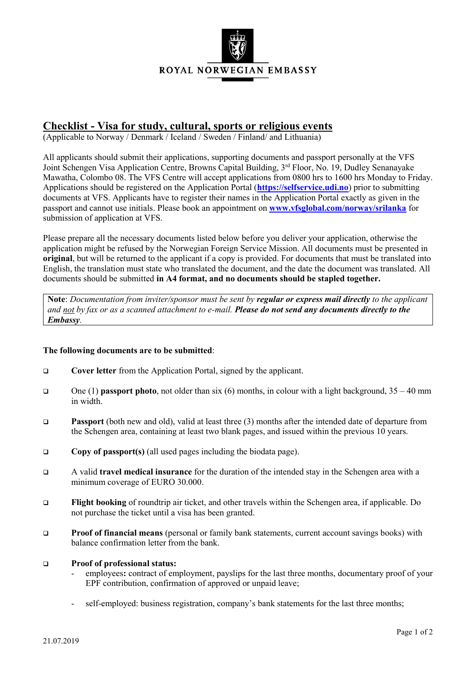

## **Checklist - Visa for study, cultural, sports or religious events**

(Applicable to Norway / Denmark / Iceland / Sweden / Finland/ and Lithuania)

All applicants should submit their applications, supporting documents and passport personally at the VFS Joint Schengen Visa Application Centre, Browns Capital Building, 3<sup>rd</sup> Floor, No. 19, Dudley Senanayake Mawatha, Colombo 08. The VFS Centre will accept applications from 0800 hrs to 1600 hrs Monday to Friday. Applications should be registered on the Application Portal (**[https://selfservice.udi.no](https://selfservice.udi.no/)**) prior to submitting documents at VFS. Applicants have to register their names in the Application Portal exactly as given in the passport and cannot use initials. Please book an appointment on **[www.vfsglobal.com/norway/srilanka](http://www.vfsglobal.com/norway/srilanka)** for submission of application at VFS.

Please prepare all the necessary documents listed below before you deliver your application, otherwise the application might be refused by the Norwegian Foreign Service Mission. All documents must be presented in **original**, but will be returned to the applicant if a copy is provided. For documents that must be translated into English, the translation must state who translated the document, and the date the document was translated. All documents should be submitted **in A4 format, and no documents should be stapled together.**

**Note**: *Documentation from inviter/sponsor must be sent by regular or express mail directly to the applicant and not by fax or as a scanned attachment to e-mail. Please do not send any documents directly to the Embassy.*

## **The following documents are to be submitted**:

- **Cover letter** from the Application Portal, signed by the applicant.
- One (1) **passport photo**, not older than six (6) months, in colour with a light background, 35 40 mm in width.
- **Passport** (both new and old), valid at least three (3) months after the intended date of departure from the Schengen area, containing at least two blank pages, and issued within the previous 10 years.
- **Copy of passport(s)** (all used pages including the biodata page).
- A valid **travel medical insurance** for the duration of the intended stay in the Schengen area with a minimum coverage of EURO 30.000.
- **Flight booking** of roundtrip air ticket, and other travels within the Schengen area, if applicable. Do not purchase the ticket until a visa has been granted.
- **Proof of financial means** (personal or family bank statements, current account savings books) with balance confirmation letter from the bank.

## **Proof of professional status:**

- employees**:** contract of employment, payslips for the last three months, documentary proof of your EPF contribution, confirmation of approved or unpaid leave;
- self-employed: business registration, company's bank statements for the last three months;